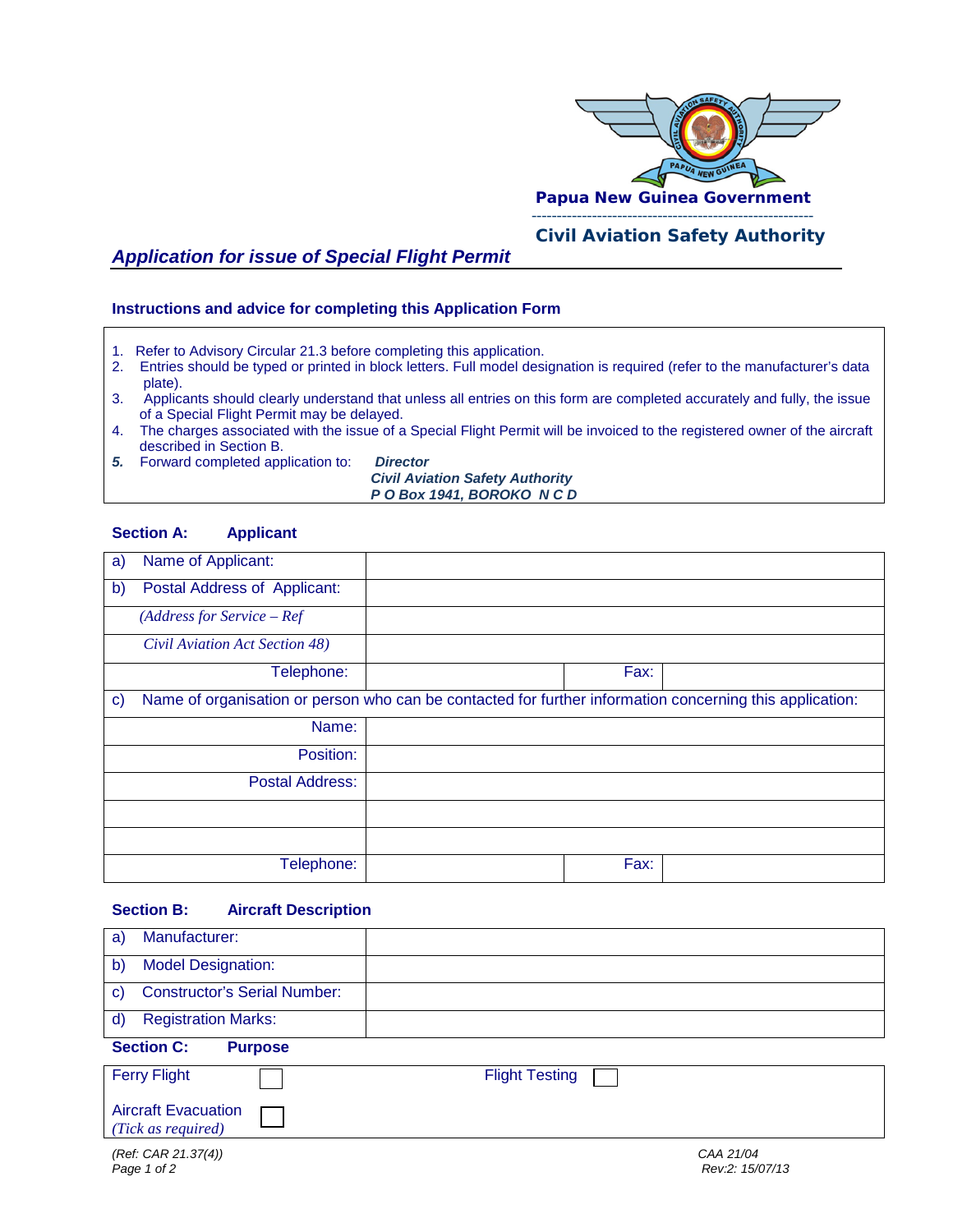

# *Civil Aviation Safety Authority*

## *Application for issue of Special Flight Permit*

**Instructions and advice for completing this Application Form**

- 1. Refer to Advisory Circular 21.3 before completing this application.
- 2. Entries should be typed or printed in block letters. Full model designation is required (refer to the manufacturer's data plate).<br>3. Applica
- Applicants should clearly understand that unless all entries on this form are completed accurately and fully, the issue of a Special Flight Permit may be delayed.<br>4. The charges associated with the issue of a
- The charges associated with the issue of a Special Flight Permit will be invoiced to the registered owner of the aircraft described in Section B.
- *5.* Forward completed application to: *Director*

 *Civil Aviation Safety Authority P O Box 1941, BOROKO N C D* 

#### **Section A: Applicant**

| a)           | Name of Applicant:                                                                                       |      |  |
|--------------|----------------------------------------------------------------------------------------------------------|------|--|
| $\mathbf{b}$ | Postal Address of Applicant:                                                                             |      |  |
|              | $(Address for Service - Ref$                                                                             |      |  |
|              | Civil Aviation Act Section 48)                                                                           |      |  |
|              | Telephone:                                                                                               | Fax: |  |
| $\mathbf{C}$ | Name of organisation or person who can be contacted for further information concerning this application: |      |  |
|              | Name:                                                                                                    |      |  |
|              | Position:                                                                                                |      |  |
|              | Postal Address:                                                                                          |      |  |
|              |                                                                                                          |      |  |
|              |                                                                                                          |      |  |
|              | Telephone:                                                                                               | Fax: |  |

#### **Section B: Aircraft Description**

| Manufacturer:<br>a)                                 |                              |  |  |  |
|-----------------------------------------------------|------------------------------|--|--|--|
| <b>Model Designation:</b><br>$\mathsf{b}$           |                              |  |  |  |
| <b>Constructor's Serial Number:</b><br>$\mathbf{C}$ |                              |  |  |  |
| <b>Registration Marks:</b><br>$\mathsf{d}$          |                              |  |  |  |
| <b>Section C:</b><br><b>Purpose</b>                 |                              |  |  |  |
| <b>Ferry Flight</b>                                 | <b>Flight Testing</b>        |  |  |  |
| <b>Aircraft Evacuation</b><br>(Tick as required)    |                              |  |  |  |
| (Ref. CAR 21.37(4))<br>Page 1 of 2                  | CAA 21/04<br>Rev:2: 15/07/13 |  |  |  |